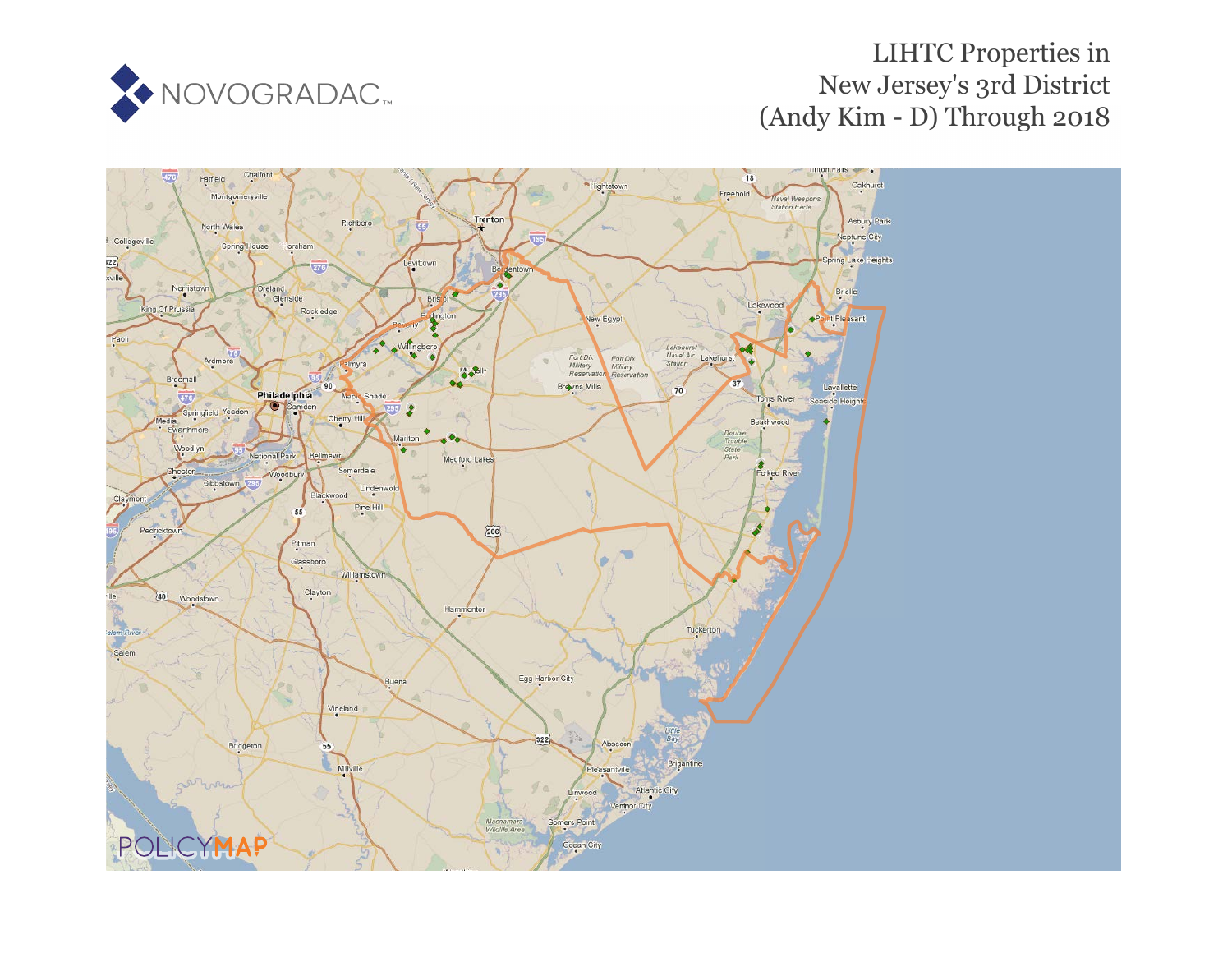

# LIHTC Properties in New Jersey's 3rd District (Andy Kim - D) Through 2018

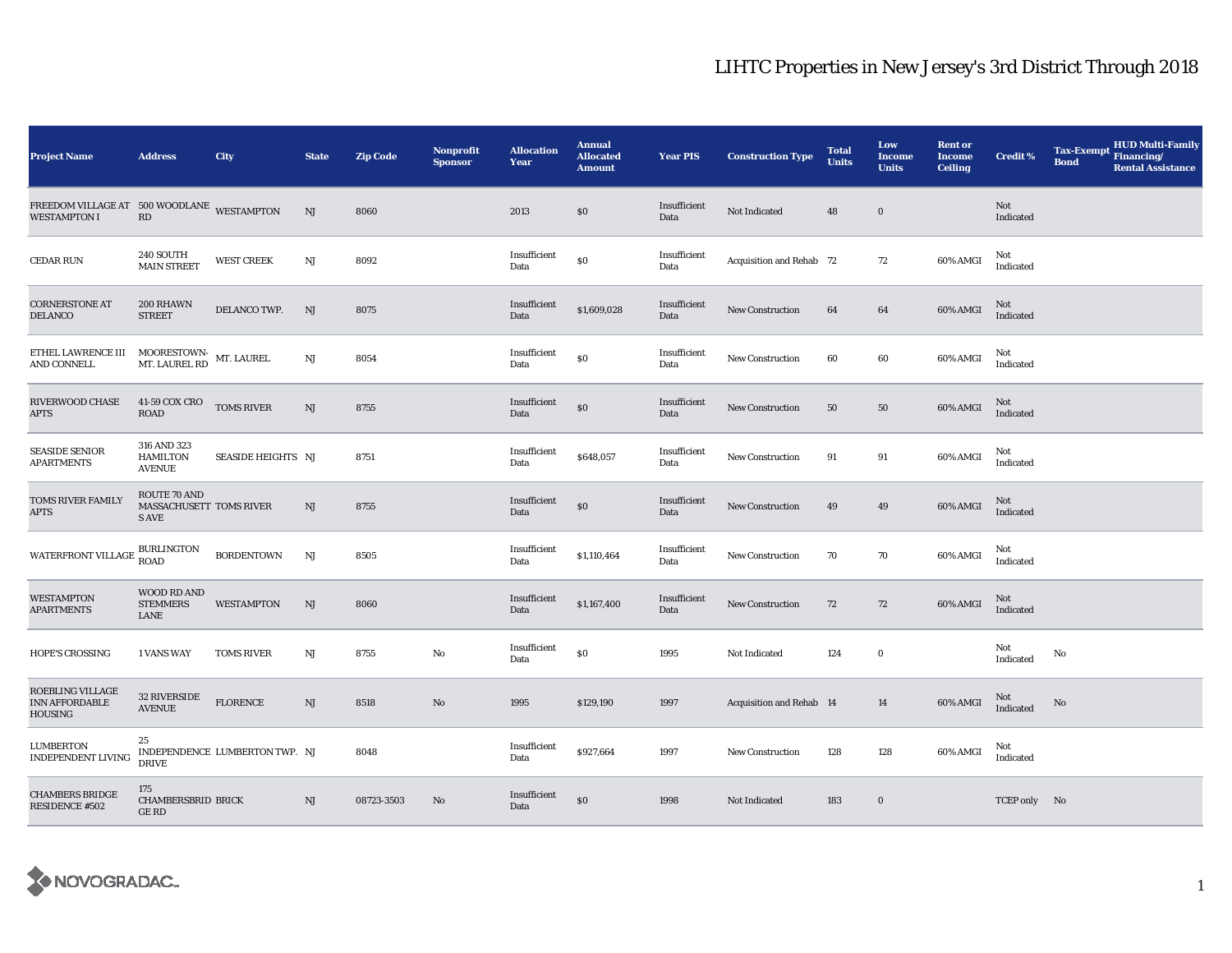| <b>Project Name</b>                                                                                                                                                                                                           | <b>Address</b>                                                | City                           | <b>State</b> | <b>Zip Code</b> | <b>Nonprofit</b><br><b>Sponsor</b> | <b>Allocation</b><br>Year | <b>Annual</b><br><b>Allocated</b><br><b>Amount</b> | <b>Year PIS</b>      | <b>Construction Type</b>        | <b>Total</b><br><b>Units</b> | Low<br>Income<br><b>Units</b> | <b>Rent or</b><br><b>Income</b><br><b>Ceiling</b> | <b>Credit %</b>  | <b>Tax-Exempt</b><br><b>Bond</b> | HUD Multi-Family<br>Financing/<br><b>Rental Assistance</b> |
|-------------------------------------------------------------------------------------------------------------------------------------------------------------------------------------------------------------------------------|---------------------------------------------------------------|--------------------------------|--------------|-----------------|------------------------------------|---------------------------|----------------------------------------------------|----------------------|---------------------------------|------------------------------|-------------------------------|---------------------------------------------------|------------------|----------------------------------|------------------------------------------------------------|
| FREEDOM VILLAGE AT 500 WOODLANE WESTAMPTON<br><b>WESTAMPTON I</b>                                                                                                                                                             | $\mathbf{R}\mathbf{D}$                                        |                                | NJ           | 8060            |                                    | 2013                      | \$0                                                | Insufficient<br>Data | Not Indicated                   | 48                           | $\bf{0}$                      |                                                   | Not<br>Indicated |                                  |                                                            |
| CEDAR RUN                                                                                                                                                                                                                     | 240 SOUTH<br><b>MAIN STREET</b>                               | <b>WEST CREEK</b>              | $\rm{NJ}$    | 8092            |                                    | Insufficient<br>Data      | $\$0$                                              | Insufficient<br>Data | <b>Acquisition and Rehab 72</b> |                              | 72                            | 60% AMGI                                          | Not<br>Indicated |                                  |                                                            |
| <b>CORNERSTONE AT</b><br><b>DELANCO</b>                                                                                                                                                                                       | 200 RHAWN<br><b>STREET</b>                                    | DELANCO TWP.                   | NJ           | 8075            |                                    | Insufficient<br>Data      | \$1,609,028                                        | Insufficient<br>Data | <b>New Construction</b>         | 64                           | 64                            | 60% AMGI                                          | Not<br>Indicated |                                  |                                                            |
| ${\small \texttt{ETHEL} \texttt{LAWRENCE} \texttt{III}} & {\small \texttt{MOORESTOWN-} \texttt{MT}. \texttt{LAUREL}} \\ {\small \texttt{M} \texttt{T}.\texttt{LAUREL} \texttt{RD}} & {\small \texttt{MT}.\texttt{LAUREL}} \\$ |                                                               |                                | NJ           | 8054            |                                    | Insufficient<br>Data      | $\$0$                                              | Insufficient<br>Data | <b>New Construction</b>         | 60                           | 60                            | 60% AMGI                                          | Not<br>Indicated |                                  |                                                            |
| RIVERWOOD CHASE<br><b>APTS</b>                                                                                                                                                                                                | 41-59 COX CRO<br><b>ROAD</b>                                  | <b>TOMS RIVER</b>              | NJ           | 8755            |                                    | Insufficient<br>Data      | \$0                                                | Insufficient<br>Data | <b>New Construction</b>         | 50                           | 50                            | 60% AMGI                                          | Not<br>Indicated |                                  |                                                            |
| <b>SEASIDE SENIOR</b><br><b>APARTMENTS</b>                                                                                                                                                                                    | 316 AND 323<br><b>HAMILTON</b><br><b>AVENUE</b>               | SEASIDE HEIGHTS NJ             |              | 8751            |                                    | Insufficient<br>Data      | \$648,057                                          | Insufficient<br>Data | <b>New Construction</b>         | 91                           | 91                            | 60% AMGI                                          | Not<br>Indicated |                                  |                                                            |
| <b>TOMS RIVER FAMILY</b><br><b>APTS</b>                                                                                                                                                                                       | <b>ROUTE 70 AND</b><br>MASSACHUSETT TOMS RIVER<br><b>SAVE</b> |                                | NJ           | 8755            |                                    | Insufficient<br>Data      | $\$0$                                              | Insufficient<br>Data | <b>New Construction</b>         | 49                           | 49                            | 60% AMGI                                          | Not<br>Indicated |                                  |                                                            |
| WATERFRONT VILLAGE BURLINGTON                                                                                                                                                                                                 | <b>ROAD</b>                                                   | <b>BORDENTOWN</b>              | NJ           | 8505            |                                    | Insufficient<br>Data      | \$1,110,464                                        | Insufficient<br>Data | <b>New Construction</b>         | 70                           | 70                            | 60% AMGI                                          | Not<br>Indicated |                                  |                                                            |
| WESTAMPTON<br><b>APARTMENTS</b>                                                                                                                                                                                               | WOOD RD AND<br><b>STEMMERS</b><br>LANE                        | <b>WESTAMPTON</b>              | NJ           | 8060            |                                    | Insufficient<br>Data      | \$1,167,400                                        | Insufficient<br>Data | <b>New Construction</b>         | 72                           | 72                            | 60% AMGI                                          | Not<br>Indicated |                                  |                                                            |
| <b>HOPE'S CROSSING</b>                                                                                                                                                                                                        | <b>1 VANS WAY</b>                                             | <b>TOMS RIVER</b>              | NJ           | 8755            | No                                 | Insufficient<br>Data      | \$0                                                | 1995                 | Not Indicated                   | 124                          | $\bf{0}$                      |                                                   | Not<br>Indicated | No                               |                                                            |
| ROEBLING VILLAGE<br>INN AFFORDABLE<br><b>HOUSING</b>                                                                                                                                                                          | 32 RIVERSIDE<br><b>AVENUE</b>                                 | <b>FLORENCE</b>                | NJ           | 8518            | No                                 | 1995                      | \$129,190                                          | 1997                 | Acquisition and Rehab 14        |                              | 14                            | 60% AMGI                                          | Not<br>Indicated | No                               |                                                            |
| LUMBERTON<br><b>INDEPENDENT LIVING</b>                                                                                                                                                                                        | 25<br><b>DRIVE</b>                                            | INDEPENDENCE LUMBERTON TWP. NJ |              | 8048            |                                    | Insufficient<br>Data      | \$927,664                                          | 1997                 | <b>New Construction</b>         | 128                          | 128                           | 60% AMGI                                          | Not<br>Indicated |                                  |                                                            |
| <b>CHAMBERS BRIDGE</b><br>RESIDENCE #502                                                                                                                                                                                      | 175<br><b>CHAMBERSBRID BRICK</b><br>GE RD                     |                                | NJ           | 08723-3503      | No                                 | Insufficient<br>Data      | $\$0$                                              | 1998                 | Not Indicated                   | 183                          | $\bf{0}$                      |                                                   | TCEP only No     |                                  |                                                            |

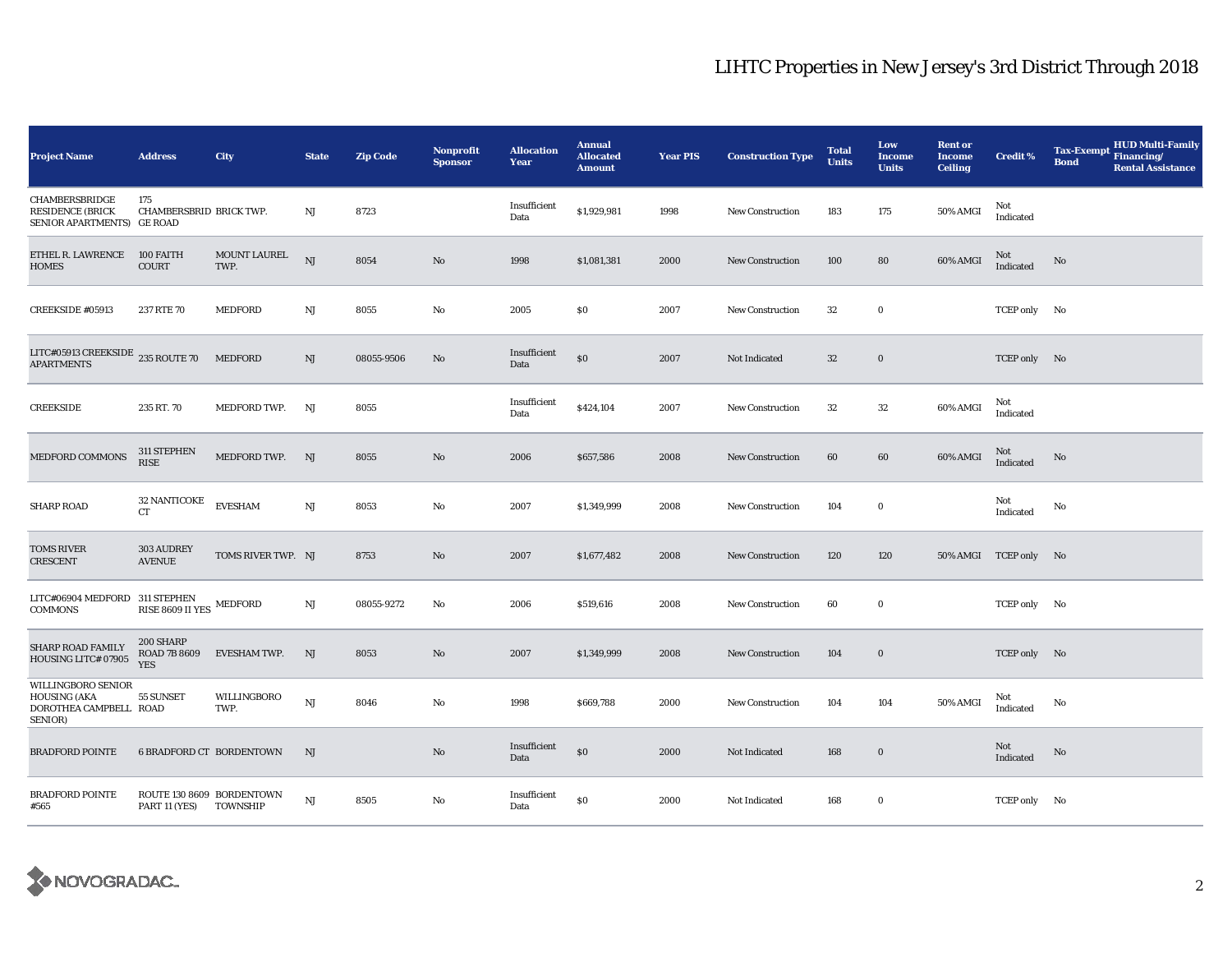| <b>Project Name</b>                                                            | <b>Address</b>                                      | City                 | <b>State</b> | <b>Zip Code</b> | <b>Nonprofit</b><br><b>Sponsor</b> | <b>Allocation</b><br>Year | <b>Annual</b><br><b>Allocated</b><br><b>Amount</b> | <b>Year PIS</b> | <b>Construction Type</b> | <b>Total</b><br><b>Units</b> | Low<br><b>Income</b><br><b>Units</b> | <b>Rent or</b><br><b>Income</b><br><b>Ceiling</b> | <b>Credit %</b>       | <b>HUD Multi-Family</b><br><b>Tax-Exempt</b><br>Financing/<br><b>Bond</b><br><b>Rental Assistance</b> |
|--------------------------------------------------------------------------------|-----------------------------------------------------|----------------------|--------------|-----------------|------------------------------------|---------------------------|----------------------------------------------------|-----------------|--------------------------|------------------------------|--------------------------------------|---------------------------------------------------|-----------------------|-------------------------------------------------------------------------------------------------------|
| CHAMBERSBRIDGE<br><b>RESIDENCE (BRICK</b><br>SENIOR APARTMENTS) GE ROAD        | 175<br>CHAMBERSBRID BRICK TWP.                      |                      | NJ           | 8723            |                                    | Insufficient<br>Data      | \$1,929,981                                        | 1998            | <b>New Construction</b>  | 183                          | 175                                  | 50% AMGI                                          | Not<br>Indicated      |                                                                                                       |
| ETHEL R. LAWRENCE<br><b>HOMES</b>                                              | 100 FAITH<br><b>COURT</b>                           | MOUNT LAUREL<br>TWP. | NJ           | 8054            | No                                 | 1998                      | \$1,081,381                                        | 2000            | <b>New Construction</b>  | 100                          | 80                                   | 60% AMGI                                          | Not<br>Indicated      | No                                                                                                    |
| CREEKSIDE #05913                                                               | 237 RTE 70                                          | MEDFORD              | NJ           | 8055            | No                                 | 2005                      | \$0                                                | 2007            | <b>New Construction</b>  | 32                           | $\bf{0}$                             |                                                   | TCEP only No          |                                                                                                       |
| LITC#05913 CREEKSIDE 235 ROUTE 70<br><b>APARTMENTS</b>                         |                                                     | <b>MEDFORD</b>       | NJ           | 08055-9506      | No                                 | Insufficient<br>Data      | \$0                                                | 2007            | Not Indicated            | $32\,$                       | $\mathbf 0$                          |                                                   | TCEP only No          |                                                                                                       |
| <b>CREEKSIDE</b>                                                               | 235 RT. 70                                          | MEDFORD TWP.         | NJ           | 8055            |                                    | Insufficient<br>Data      | \$424,104                                          | 2007            | <b>New Construction</b>  | 32                           | 32                                   | 60% AMGI                                          | Not<br>Indicated      |                                                                                                       |
| MEDFORD COMMONS                                                                | 311 STEPHEN<br><b>RISE</b>                          | MEDFORD TWP.         | NJ           | 8055            | No                                 | 2006                      | \$657,586                                          | 2008            | <b>New Construction</b>  | 60                           | 60                                   | 60% AMGI                                          | Not<br>Indicated      | No                                                                                                    |
| <b>SHARP ROAD</b>                                                              | 32 NANTICOKE<br><b>CT</b>                           | <b>EVESHAM</b>       | NJ           | 8053            | No                                 | 2007                      | \$1,349,999                                        | 2008            | New Construction         | 104                          | $\bf{0}$                             |                                                   | Not<br>Indicated      | No                                                                                                    |
| <b>TOMS RIVER</b><br><b>CRESCENT</b>                                           | 303 AUDREY<br><b>AVENUE</b>                         | TOMS RIVER TWP. NJ   |              | 8753            | No                                 | 2007                      | \$1,677,482                                        | 2008            | New Construction         | 120                          | 120                                  |                                                   | 50% AMGI TCEP only No |                                                                                                       |
| LITC#06904 MEDFORD 311 STEPHEN<br><b>COMMONS</b>                               | RISE 8609 II YES MEDFORD                            |                      | NJ           | 08055-9272      | No                                 | 2006                      | \$519,616                                          | 2008            | <b>New Construction</b>  | 60                           | $\bf{0}$                             |                                                   | TCEP only No          |                                                                                                       |
| SHARP ROAD FAMILY<br>HOUSING LITC# 07905                                       | 200 SHARP<br><b>ROAD 7B 8609</b><br><b>YES</b>      | <b>EVESHAM TWP.</b>  | NJ           | 8053            | No                                 | 2007                      | \$1,349,999                                        | 2008            | <b>New Construction</b>  | 104                          | $\mathbf 0$                          |                                                   | TCEP only No          |                                                                                                       |
| WILLINGBORO SENIOR<br><b>HOUSING (AKA</b><br>DOROTHEA CAMPBELL ROAD<br>SENIOR) | 55 SUNSET                                           | WILLINGBORO<br>TWP.  | NJ           | 8046            | No                                 | 1998                      | \$669,788                                          | 2000            | <b>New Construction</b>  | 104                          | 104                                  | 50% AMGI                                          | Not<br>Indicated      | No                                                                                                    |
| <b>BRADFORD POINTE</b>                                                         | <b>6 BRADFORD CT BORDENTOWN</b>                     |                      | NJ           |                 | No                                 | Insufficient<br>Data      | $\$0$                                              | 2000            | Not Indicated            | 168                          | $\bf{0}$                             |                                                   | Not<br>Indicated      | No                                                                                                    |
| <b>BRADFORD POINTE</b><br>#565                                                 | ROUTE 130 8609 BORDENTOWN<br>PART 11 (YES) TOWNSHIP |                      | NJ           | 8505            | No                                 | Insufficient<br>Data      | \$0                                                | 2000            | Not Indicated            | 168                          | $\bf{0}$                             |                                                   | TCEP only No          |                                                                                                       |

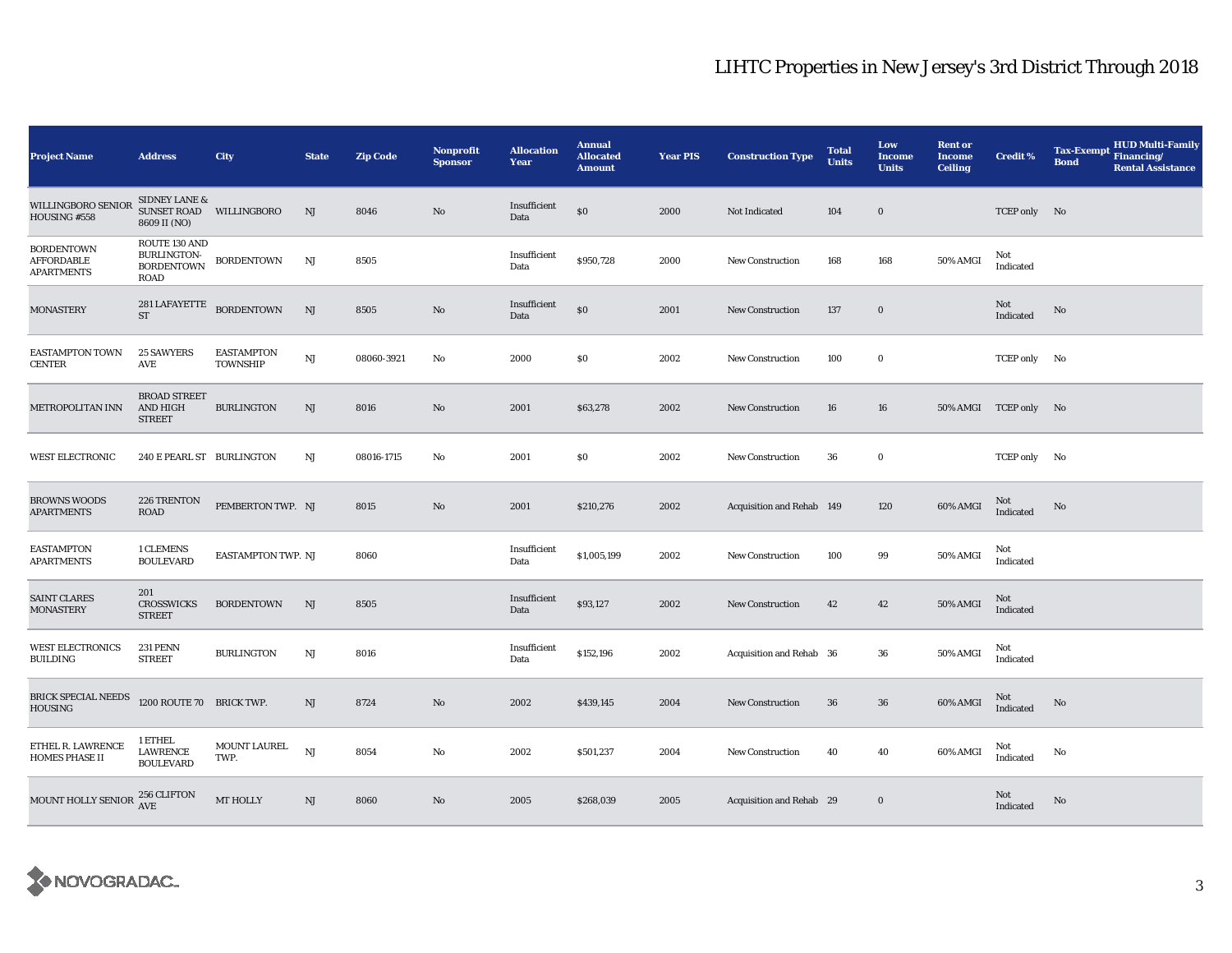| <b>Project Name</b>                                         | <b>Address</b>                                                      | City                                 | <b>State</b> | <b>Zip Code</b> | <b>Nonprofit</b><br><b>Sponsor</b> | <b>Allocation</b><br>Year | <b>Annual</b><br><b>Allocated</b><br><b>Amount</b> | <b>Year PIS</b> | <b>Construction Type</b>  | <b>Total</b><br><b>Units</b> | Low<br>Income<br><b>Units</b> | <b>Rent or</b><br><b>Income</b><br><b>Ceiling</b> | <b>Credit %</b>       | <b>HUD Multi-Family</b><br><b>Tax-Exempt</b><br>Financing/<br><b>Bond</b><br><b>Rental Assistance</b> |
|-------------------------------------------------------------|---------------------------------------------------------------------|--------------------------------------|--------------|-----------------|------------------------------------|---------------------------|----------------------------------------------------|-----------------|---------------------------|------------------------------|-------------------------------|---------------------------------------------------|-----------------------|-------------------------------------------------------------------------------------------------------|
| WILLINGBORO SENIOR<br>HOUSING #558                          | <b>SIDNEY LANE &amp;</b><br>SUNSET ROAD WILLINGBORO<br>8609 II (NO) |                                      | NJ           | 8046            | No                                 | Insufficient<br>Data      | \$0                                                | 2000            | Not Indicated             | 104                          | $\bf{0}$                      |                                                   | TCEP only No          |                                                                                                       |
| <b>BORDENTOWN</b><br><b>AFFORDABLE</b><br><b>APARTMENTS</b> | ROUTE 130 AND<br>BURLINGTON-<br>BORDENTOWN<br><b>ROAD</b>           | <b>BORDENTOWN</b>                    | NJ           | 8505            |                                    | Insufficient<br>Data      | \$950,728                                          | 2000            | <b>New Construction</b>   | 168                          | 168                           | 50% AMGI                                          | Not<br>Indicated      |                                                                                                       |
| <b>MONASTERY</b>                                            | $281\,{\rm LAFAYETTE}$ BORDENTOWN<br><b>ST</b>                      |                                      | NJ           | 8505            | No                                 | Insufficient<br>Data      | $\$0$                                              | 2001            | <b>New Construction</b>   | 137                          | $\bf{0}$                      |                                                   | Not<br>Indicated      | No                                                                                                    |
| EASTAMPTON TOWN<br><b>CENTER</b>                            | <b>25 SAWYERS</b><br><b>AVE</b>                                     | <b>EASTAMPTON</b><br><b>TOWNSHIP</b> | NJ           | 08060-3921      | No                                 | 2000                      | \$0                                                | 2002            | <b>New Construction</b>   | 100                          | $\bf{0}$                      |                                                   | TCEP only No          |                                                                                                       |
| METROPOLITAN INN                                            | <b>BROAD STREET</b><br><b>AND HIGH</b><br><b>STREET</b>             | <b>BURLINGTON</b>                    | NJ           | 8016            | No                                 | 2001                      | \$63,278                                           | 2002            | <b>New Construction</b>   | 16                           | 16                            |                                                   | 50% AMGI TCEP only No |                                                                                                       |
| <b>WEST ELECTRONIC</b>                                      | 240 E PEARL ST BURLINGTON                                           |                                      | NJ           | 08016-1715      | No                                 | 2001                      | $\$0$                                              | 2002            | <b>New Construction</b>   | 36                           | $\bf{0}$                      |                                                   | TCEP only No          |                                                                                                       |
| <b>BROWNS WOODS</b><br><b>APARTMENTS</b>                    | 226 TRENTON<br>ROAD                                                 | PEMBERTON TWP. NJ                    |              | 8015            | No                                 | 2001                      | \$210,276                                          | 2002            | Acquisition and Rehab 149 |                              | 120                           | 60% AMGI                                          | Not<br>Indicated      | No                                                                                                    |
| <b>EASTAMPTON</b><br>APARTMENTS                             | 1 CLEMENS<br><b>BOULEVARD</b>                                       | EASTAMPTON TWP. NJ                   |              | 8060            |                                    | Insufficient<br>Data      | \$1,005,199                                        | 2002            | <b>New Construction</b>   | 100                          | 99                            | 50% AMGI                                          | Not<br>Indicated      |                                                                                                       |
| <b>SAINT CLARES</b><br><b>MONASTERY</b>                     | 201<br>CROSSWICKS<br><b>STREET</b>                                  | <b>BORDENTOWN</b>                    | NJ           | 8505            |                                    | Insufficient<br>Data      | \$93,127                                           | 2002            | <b>New Construction</b>   | 42                           | 42                            | 50% AMGI                                          | Not<br>Indicated      |                                                                                                       |
| WEST ELECTRONICS<br><b>BUILDING</b>                         | <b>231 PENN</b><br><b>STREET</b>                                    | <b>BURLINGTON</b>                    | NJ           | 8016            |                                    | Insufficient<br>Data      | \$152,196                                          | 2002            | Acquisition and Rehab 36  |                              | 36                            | 50% AMGI                                          | Not<br>Indicated      |                                                                                                       |
| <b>BRICK SPECIAL NEEDS</b><br><b>HOUSING</b>                | 1200 ROUTE 70 BRICK TWP.                                            |                                      | NJ           | 8724            | No                                 | 2002                      | \$439,145                                          | 2004            | <b>New Construction</b>   | 36                           | $36\,$                        | 60% AMGI                                          | Not<br>Indicated      | No                                                                                                    |
| ETHEL R. LAWRENCE<br><b>HOMES PHASE II</b>                  | 1 ETHEL<br><b>LAWRENCE</b><br><b>BOULEVARD</b>                      | MOUNT LAUREL<br>TWP.                 | NJ           | 8054            | No                                 | 2002                      | \$501,237                                          | 2004            | <b>New Construction</b>   | 40                           | 40                            | 60% AMGI                                          | Not<br>Indicated      | No                                                                                                    |
| MOUNT HOLLY SENIOR <sup>256</sup> CLIFTON                   |                                                                     | MT HOLLY                             | NJ           | 8060            | No                                 | 2005                      | \$268,039                                          | 2005            | Acquisition and Rehab 29  |                              | $\bf{0}$                      |                                                   | Not<br>Indicated      | No                                                                                                    |

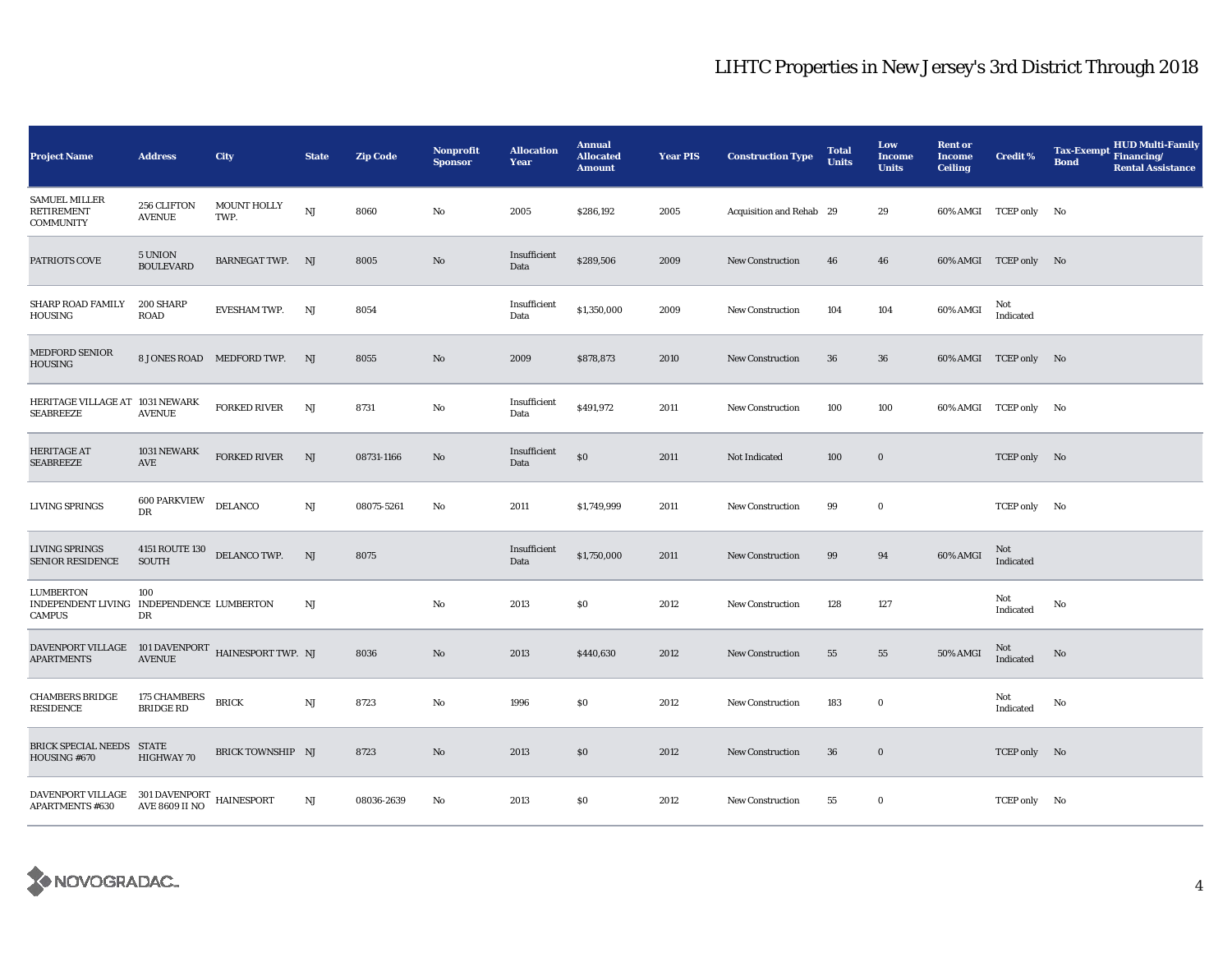| <b>Project Name</b>                                                     | <b>Address</b>                      | City                       | <b>State</b> | <b>Zip Code</b> | <b>Nonprofit</b><br><b>Sponsor</b> | <b>Allocation</b><br>Year | <b>Annual</b><br><b>Allocated</b><br><b>Amount</b> | <b>Year PIS</b> | <b>Construction Type</b> | <b>Total</b><br><b>Units</b> | Low<br><b>Income</b><br><b>Units</b> | <b>Rent or</b><br><b>Income</b><br><b>Ceiling</b> | <b>Credit %</b>       | <b>HUD Multi-Family</b><br><b>Tax-Exempt</b><br>Financing/<br><b>Bond</b><br><b>Rental Assistance</b> |
|-------------------------------------------------------------------------|-------------------------------------|----------------------------|--------------|-----------------|------------------------------------|---------------------------|----------------------------------------------------|-----------------|--------------------------|------------------------------|--------------------------------------|---------------------------------------------------|-----------------------|-------------------------------------------------------------------------------------------------------|
| <b>SAMUEL MILLER</b><br><b>RETIREMENT</b><br><b>COMMUNITY</b>           | 256 CLIFTON<br><b>AVENUE</b>        | <b>MOUNT HOLLY</b><br>TWP. | NJ           | 8060            | No                                 | 2005                      | \$286,192                                          | 2005            | Acquisition and Rehab 29 |                              | 29                                   |                                                   | 60% AMGI TCEP only No |                                                                                                       |
| PATRIOTS COVE                                                           | 5 UNION<br><b>BOULEVARD</b>         | BARNEGAT TWP. NJ           |              | 8005            | $\mathbf{N}\mathbf{o}$             | Insufficient<br>Data      | \$289,506                                          | 2009            | <b>New Construction</b>  | 46                           | 46                                   |                                                   | 60% AMGI TCEP only No |                                                                                                       |
| SHARP ROAD FAMILY<br><b>HOUSING</b>                                     | 200 SHARP<br><b>ROAD</b>            | <b>EVESHAM TWP.</b>        | NJ           | 8054            |                                    | Insufficient<br>Data      | \$1,350,000                                        | 2009            | New Construction         | 104                          | 104                                  | 60% AMGI                                          | Not<br>Indicated      |                                                                                                       |
| <b>MEDFORD SENIOR</b><br><b>HOUSING</b>                                 |                                     | 8 JONES ROAD MEDFORD TWP.  | NJ           | 8055            | $\mathbf{N}\mathbf{o}$             | 2009                      | \$878,873                                          | 2010            | New Construction         | 36                           | 36                                   |                                                   | 60% AMGI TCEP only No |                                                                                                       |
| HERITAGE VILLAGE AT 1031 NEWARK<br><b>SEABREEZE</b>                     | <b>AVENUE</b>                       | <b>FORKED RIVER</b>        | NJ           | 8731            | No                                 | Insufficient<br>Data      | \$491,972                                          | 2011            | New Construction         | 100                          | 100                                  |                                                   | 60% AMGI TCEP only No |                                                                                                       |
| <b>HERITAGE AT</b><br><b>SEABREEZE</b>                                  | 1031 NEWARK<br>$\operatorname{AVE}$ | FORKED RIVER               | NJ           | 08731-1166      | $\mathbf{No}$                      | Insufficient<br>Data      | $\$0$                                              | 2011            | Not Indicated            | 100                          | $\bf{0}$                             |                                                   | TCEP only No          |                                                                                                       |
| LIVING SPRINGS                                                          | <b>600 PARKVIEW</b><br>DR           | DELANCO                    | $_{\rm NJ}$  | 08075-5261      | No                                 | 2011                      | \$1,749,999                                        | 2011            | <b>New Construction</b>  | 99                           | $\bf{0}$                             |                                                   | TCEP only No          |                                                                                                       |
| LIVING SPRINGS<br><b>SENIOR RESIDENCE</b>                               | 4151 ROUTE 130<br><b>SOUTH</b>      | DELANCO TWP.               | NJ           | 8075            |                                    | Insufficient<br>Data      | \$1,750,000                                        | 2011            | <b>New Construction</b>  | 99                           | 94                                   | 60% AMGI                                          | Not<br>Indicated      |                                                                                                       |
| LUMBERTON<br>INDEPENDENT LIVING INDEPENDENCE LUMBERTON<br>CAMPUS        | 100<br>DR                           |                            | NJ           |                 | No                                 | 2013                      | \$0                                                | 2012            | New Construction         | 128                          | 127                                  |                                                   | Not<br>Indicated      | No                                                                                                    |
| DAVENPORT VILLAGE 101 DAVENPORT HAINESPORT TWP. NJ<br><b>APARTMENTS</b> | <b>AVENUE</b>                       |                            |              | 8036            | No                                 | 2013                      | \$440,630                                          | 2012            | New Construction         | 55                           | 55                                   | 50% AMGI                                          | Not<br>Indicated      | No                                                                                                    |
| <b>CHAMBERS BRIDGE</b><br><b>RESIDENCE</b>                              | 175 CHAMBERS<br><b>BRIDGE RD</b>    | <b>BRICK</b>               | NJ           | 8723            | No                                 | 1996                      | \$0                                                | 2012            | New Construction         | 183                          | $\bf{0}$                             |                                                   | Not<br>Indicated      | No                                                                                                    |
| BRICK SPECIAL NEEDS STATE<br>HOUSING #670                               | <b>HIGHWAY 70</b>                   | BRICK TOWNSHIP NJ          |              | 8723            | $\mathbf{N}\mathbf{o}$             | 2013                      | \$0                                                | 2012            | New Construction         | 36                           | $\bf{0}$                             |                                                   | TCEP only No          |                                                                                                       |
| DAVENPORT VILLAGE 301 DAVENPORT HAINESPORT<br><b>APARTMENTS #630</b>    | <b>AVE 8609 II NO</b>               |                            | NJ           | 08036-2639      | No                                 | 2013                      | \$0                                                | 2012            | New Construction         | 55                           | $\bf{0}$                             |                                                   | TCEP only No          |                                                                                                       |

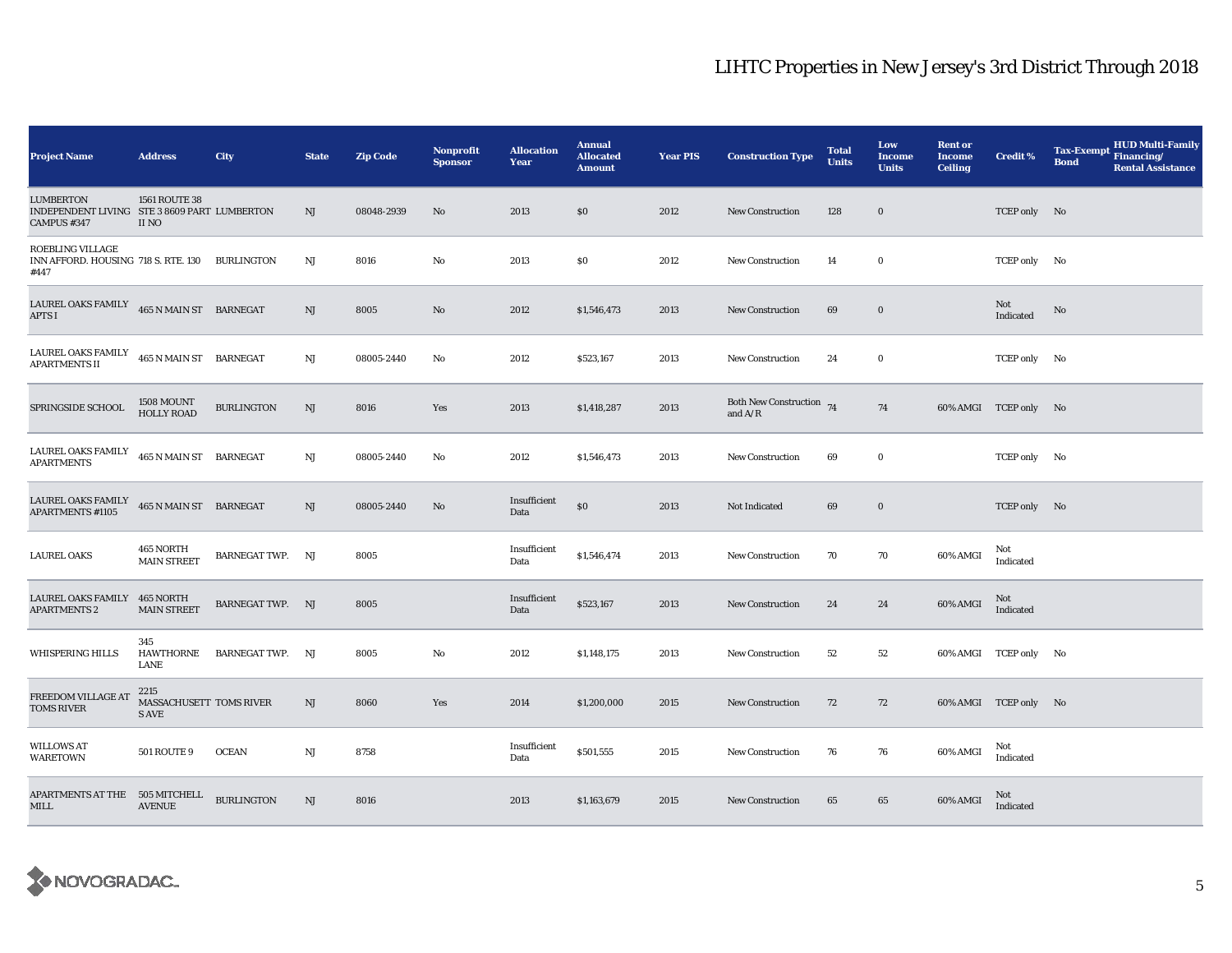| <b>Project Name</b>                                                        | <b>Address</b>                           | City                    | <b>State</b> | <b>Zip Code</b> | <b>Nonprofit</b><br><b>Sponsor</b> | <b>Allocation</b><br>Year | <b>Annual</b><br><b>Allocated</b><br><b>Amount</b> | <b>Year PIS</b> | <b>Construction Type</b>              | <b>Total</b><br><b>Units</b> | Low<br>Income<br><b>Units</b> | <b>Rent or</b><br><b>Income</b><br><b>Ceiling</b> | <b>Credit %</b>       | <b>HUD Multi-Family</b><br><b>Tax-Exempt</b><br>Financing/<br><b>Bond</b><br><b>Rental Assistance</b> |
|----------------------------------------------------------------------------|------------------------------------------|-------------------------|--------------|-----------------|------------------------------------|---------------------------|----------------------------------------------------|-----------------|---------------------------------------|------------------------------|-------------------------------|---------------------------------------------------|-----------------------|-------------------------------------------------------------------------------------------------------|
| LUMBERTON<br>INDEPENDENT LIVING STE 3 8609 PART LUMBERTON<br>CAMPUS #347   | 1561 ROUTE 38<br>II NO                   |                         | NJ           | 08048-2939      | No                                 | 2013                      | \$0                                                | 2012            | <b>New Construction</b>               | 128                          | $\bf{0}$                      |                                                   | TCEP only No          |                                                                                                       |
| ROEBLING VILLAGE<br>INN AFFORD. HOUSING 718 S. RTE. 130 BURLINGTON<br>#447 |                                          |                         | NJ           | 8016            | No                                 | 2013                      | \$0                                                | 2012            | <b>New Construction</b>               | 14                           | $\bf{0}$                      |                                                   | TCEP only No          |                                                                                                       |
| LAUREL OAKS FAMILY $465$ N MAIN ST BARNEGAT<br><b>APTS I</b>               |                                          |                         | NJ           | 8005            | No                                 | 2012                      | \$1,546,473                                        | 2013            | <b>New Construction</b>               | 69                           | $\bf{0}$                      |                                                   | Not<br>Indicated      | No                                                                                                    |
| LAUREL OAKS FAMILY<br><b>APARTMENTS II</b>                                 | 465 N MAIN ST BARNEGAT                   |                         | NJ           | 08005-2440      | No                                 | 2012                      | \$523,167                                          | 2013            | New Construction                      | 24                           | $\bf{0}$                      |                                                   | TCEP only No          |                                                                                                       |
| SPRINGSIDE SCHOOL                                                          | 1508 MOUNT<br><b>HOLLY ROAD</b>          | <b>BURLINGTON</b>       | NJ           | 8016            | Yes                                | 2013                      | \$1,418,287                                        | 2013            | Both New Construction 74<br>and $A/R$ |                              | 74                            |                                                   | 60% AMGI TCEP only No |                                                                                                       |
| LAUREL OAKS FAMILY<br><b>APARTMENTS</b>                                    | 465 N MAIN ST BARNEGAT                   |                         | $_{\rm NJ}$  | 08005-2440      | No                                 | 2012                      | \$1,546,473                                        | 2013            | <b>New Construction</b>               | 69                           | $\bf{0}$                      |                                                   | TCEP only No          |                                                                                                       |
| LAUREL OAKS FAMILY<br><b>APARTMENTS #1105</b>                              | 465 N MAIN ST BARNEGAT                   |                         | NJ           | 08005-2440      | No                                 | Insufficient<br>Data      | $\$0$                                              | 2013            | Not Indicated                         | 69                           | $\bf{0}$                      |                                                   | TCEP only No          |                                                                                                       |
| <b>LAUREL OAKS</b>                                                         | 465 NORTH<br><b>MAIN STREET</b>          | <b>BARNEGAT TWP. NJ</b> |              | 8005            |                                    | Insufficient<br>Data      | \$1,546,474                                        | 2013            | <b>New Construction</b>               | 70                           | 70                            | 60% AMGI                                          | Not<br>Indicated      |                                                                                                       |
| LAUREL OAKS FAMILY<br><b>APARTMENTS 2</b>                                  | 465 NORTH<br><b>MAIN STREET</b>          | <b>BARNEGAT TWP. NJ</b> |              | 8005            |                                    | Insufficient<br>Data      | \$523,167                                          | 2013            | <b>New Construction</b>               | 24                           | 24                            | 60% AMGI                                          | Not<br>Indicated      |                                                                                                       |
| WHISPERING HILLS                                                           | 345<br>HAWTHORNE<br>LANE                 | <b>BARNEGAT TWP. NJ</b> |              | 8005            | No                                 | 2012                      | \$1,148,175                                        | 2013            | <b>New Construction</b>               | 52                           | 52                            |                                                   | 60% AMGI TCEP only No |                                                                                                       |
| FREEDOM VILLAGE AT<br><b>TOMS RIVER</b>                                    | 2215<br>MASSACHUSETT TOMS RIVER<br>S AVE |                         | NJ           | 8060            | Yes                                | 2014                      | \$1,200,000                                        | 2015            | <b>New Construction</b>               | 72                           | 72                            |                                                   | 60% AMGI TCEP only No |                                                                                                       |
| <b>WILLOWS AT</b><br><b>WARETOWN</b>                                       | <b>501 ROUTE 9</b>                       | <b>OCEAN</b>            | NJ           | 8758            |                                    | Insufficient<br>Data      | \$501,555                                          | 2015            | <b>New Construction</b>               | 76                           | 76                            | 60% AMGI                                          | Not<br>Indicated      |                                                                                                       |
| APARTMENTS AT THE 505 MITCHELL<br>MILL                                     | <b>AVENUE</b>                            | <b>BURLINGTON</b>       | NJ           | 8016            |                                    | 2013                      | \$1,163,679                                        | 2015            | <b>New Construction</b>               | 65                           | 65                            | 60% AMGI                                          | Not<br>Indicated      |                                                                                                       |

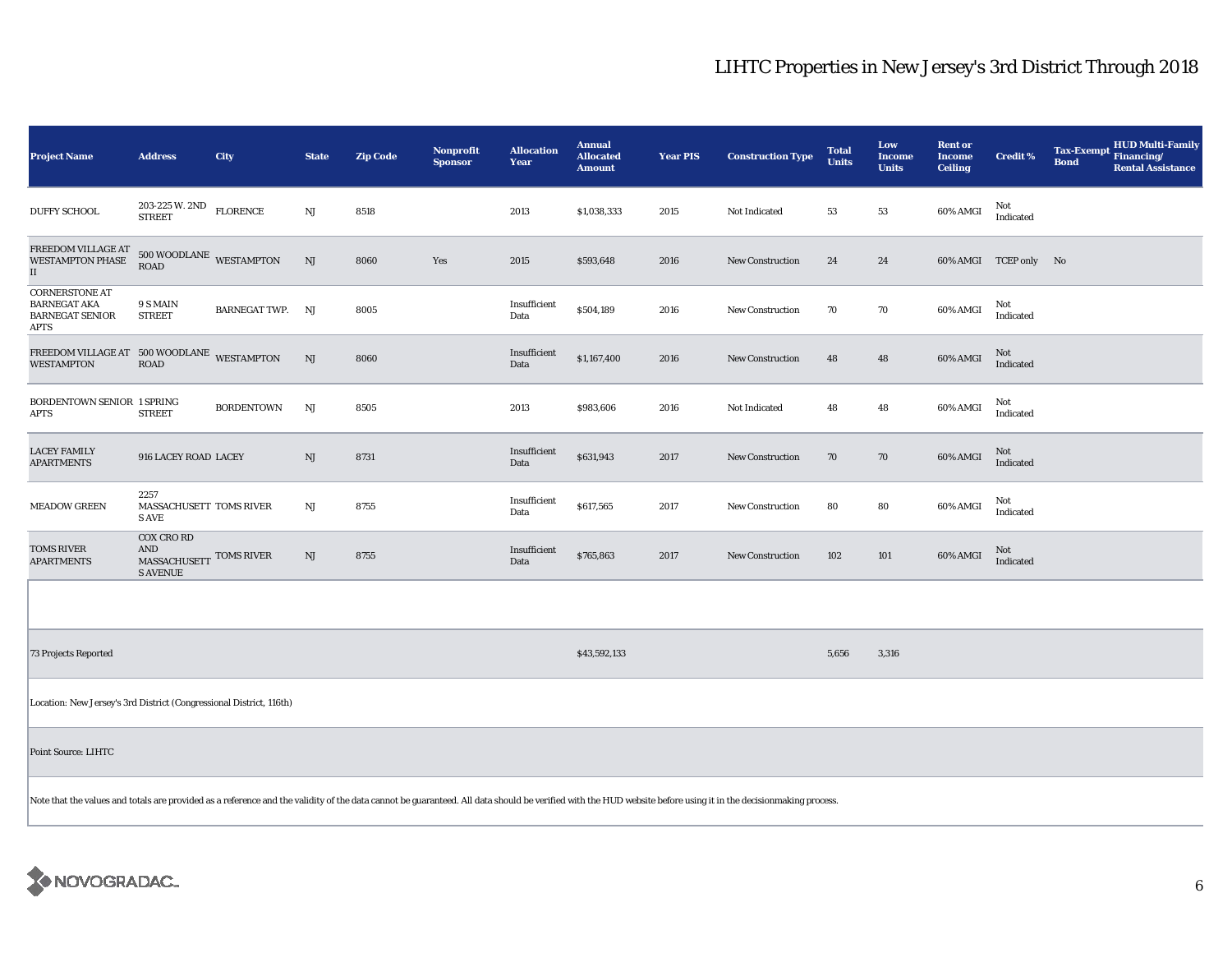| <b>Project Name</b>                                                                                                                                                                                            | <b>Address</b>                                                         | City              | <b>State</b>           | <b>Zip Code</b> | Nonprofit<br><b>Sponsor</b> | <b>Allocation</b><br>Year | <b>Annual</b><br><b>Allocated</b><br><b>Amount</b> | <b>Year PIS</b> | <b>Construction Type</b> | <b>Total</b><br><b>Units</b> | Low<br><b>Income</b><br><b>Units</b> | <b>Rent or</b><br><b>Income</b><br><b>Ceiling</b> | <b>Credit %</b>       | <b>Tax-Exempt</b><br><b>Bond</b> | <b>HUD Multi-Family</b><br>Financing/<br><b>Rental Assistance</b> |
|----------------------------------------------------------------------------------------------------------------------------------------------------------------------------------------------------------------|------------------------------------------------------------------------|-------------------|------------------------|-----------------|-----------------------------|---------------------------|----------------------------------------------------|-----------------|--------------------------|------------------------------|--------------------------------------|---------------------------------------------------|-----------------------|----------------------------------|-------------------------------------------------------------------|
| <b>DUFFY SCHOOL</b>                                                                                                                                                                                            | 203-225 W. 2ND<br><b>STREET</b>                                        | <b>FLORENCE</b>   | $_{\rm NJ}$            | 8518            |                             | 2013                      | \$1,038,333                                        | 2015            | Not Indicated            | 53                           | 53                                   | 60% AMGI                                          | Not<br>Indicated      |                                  |                                                                   |
| FREEDOM VILLAGE AT<br><b>WESTAMPTON PHASE</b><br>$\rm II$                                                                                                                                                      | $500\,$ WOODLANE $\,$ WESTAMPTON<br><b>ROAD</b>                        |                   | NJ                     | 8060            | Yes                         | 2015                      | \$593,648                                          | 2016            | <b>New Construction</b>  | 24                           | 24                                   |                                                   | 60% AMGI TCEP only No |                                  |                                                                   |
| <b>CORNERSTONE AT</b><br><b>BARNEGAT AKA</b><br><b>BARNEGAT SENIOR</b><br><b>APTS</b>                                                                                                                          | 9 S MAIN<br><b>STREET</b>                                              | BARNEGAT TWP. NJ  |                        | 8005            |                             | Insufficient<br>Data      | \$504,189                                          | 2016            | New Construction         | 70                           | 70                                   | 60% AMGI                                          | Not<br>Indicated      |                                  |                                                                   |
| FREEDOM VILLAGE AT 500 WOODLANE WESTAMPTON<br><b>WESTAMPTON</b>                                                                                                                                                | <b>ROAD</b>                                                            |                   | $\rm{NJ}$              | 8060            |                             | Insufficient<br>Data      | \$1,167,400                                        | 2016            | New Construction         | 48                           | 48                                   | 60% AMGI                                          | Not<br>Indicated      |                                  |                                                                   |
| BORDENTOWN SENIOR 1 SPRING<br>APTS                                                                                                                                                                             | <b>STREET</b>                                                          | <b>BORDENTOWN</b> | NJ                     | 8505            |                             | 2013                      | \$983,606                                          | 2016            | Not Indicated            | 48                           | 48                                   | 60% AMGI                                          | Not<br>Indicated      |                                  |                                                                   |
| <b>LACEY FAMILY</b><br><b>APARTMENTS</b>                                                                                                                                                                       | 916 LACEY ROAD LACEY                                                   |                   | NJ                     | 8731            |                             | Insufficient<br>Data      | \$631,943                                          | 2017            | <b>New Construction</b>  | 70                           | 70                                   | 60% AMGI                                          | Not<br>Indicated      |                                  |                                                                   |
| <b>MEADOW GREEN</b>                                                                                                                                                                                            | 2257<br>MASSACHUSETT TOMS RIVER<br><b>SAVE</b>                         |                   | $\mathbf{N}\mathbf{J}$ | 8755            |                             | Insufficient<br>Data      | \$617,565                                          | 2017            | <b>New Construction</b>  | 80                           | 80                                   | 60% AMGI                                          | Not<br>Indicated      |                                  |                                                                   |
| <b>TOMS RIVER</b><br><b>APARTMENTS</b>                                                                                                                                                                         | <b>COX CRO RD</b><br>AND<br>MASSACHUSETT TOMS RIVER<br><b>S AVENUE</b> |                   | NJ                     | 8755            |                             | Insufficient<br>Data      | \$765,863                                          | 2017            | <b>New Construction</b>  | 102                          | 101                                  | 60% AMGI                                          | Not<br>Indicated      |                                  |                                                                   |
|                                                                                                                                                                                                                |                                                                        |                   |                        |                 |                             |                           |                                                    |                 |                          |                              |                                      |                                                   |                       |                                  |                                                                   |
| <b>73 Projects Reported</b>                                                                                                                                                                                    |                                                                        |                   |                        |                 |                             |                           | \$43,592,133                                       |                 |                          | 5,656                        | 3,316                                |                                                   |                       |                                  |                                                                   |
| Location: New Jersey's 3rd District (Congressional District, 116th)                                                                                                                                            |                                                                        |                   |                        |                 |                             |                           |                                                    |                 |                          |                              |                                      |                                                   |                       |                                  |                                                                   |
| <b>Point Source: LIHTC</b>                                                                                                                                                                                     |                                                                        |                   |                        |                 |                             |                           |                                                    |                 |                          |                              |                                      |                                                   |                       |                                  |                                                                   |
| Note that the values and totals are provided as a reference and the validity of the data cannot be guaranteed. All data should be verified with the HUD website before using it in the decisionmaking process. |                                                                        |                   |                        |                 |                             |                           |                                                    |                 |                          |                              |                                      |                                                   |                       |                                  |                                                                   |